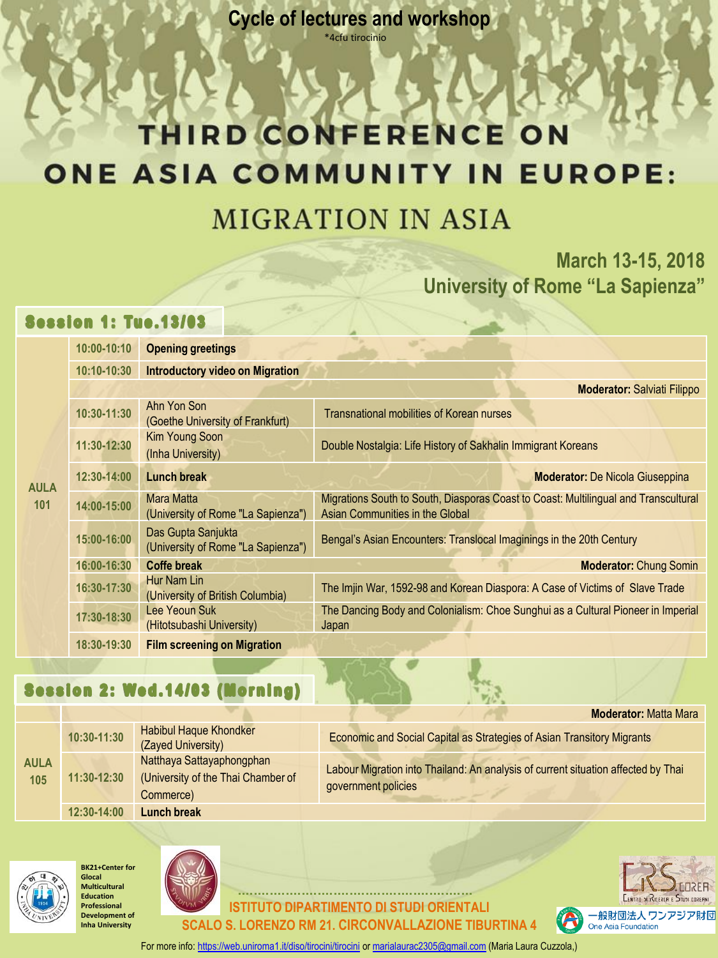**Cycle of lectures and workshop** \*4cfu tirocinio

# THIRD CONFERENCE ON **ONE ASIA COMMUNITY IN EUROPE:**

### **MIGRATION IN ASIA**

**March 13-15, 2018 University of Rome "La Sapienza"**

#### **Session 1: Tue.13/03**

| <b>AULA</b><br>101 | 10:00-10:10 | <b>Opening greetings</b>                                 |                                                                                                                        |
|--------------------|-------------|----------------------------------------------------------|------------------------------------------------------------------------------------------------------------------------|
|                    | 10:10-10:30 | <b>Introductory video on Migration</b>                   |                                                                                                                        |
|                    |             |                                                          | <b>Moderator: Salviati Filippo</b>                                                                                     |
|                    | 10:30-11:30 | Ahn Yon Son<br>(Goethe University of Frankfurt)          | <b>Transnational mobilities of Korean nurses</b>                                                                       |
|                    | 11:30-12:30 | Kim Young Soon<br>(Inha University)                      | Double Nostalgia: Life History of Sakhalin Immigrant Koreans                                                           |
|                    | 12:30-14:00 | <b>Lunch break</b>                                       | <b>Moderator: De Nicola Giuseppina</b>                                                                                 |
|                    | 14:00-15:00 | <b>Mara Matta</b><br>(University of Rome "La Sapienza")  | Migrations South to South, Diasporas Coast to Coast: Multilingual and Transcultural<br>Asian Communities in the Global |
|                    | 15:00-16:00 | Das Gupta Sanjukta<br>(University of Rome "La Sapienza") | Bengal's Asian Encounters: Translocal Imaginings in the 20th Century                                                   |
|                    | 16:00-16:30 | <b>Coffe break</b>                                       | <b>Moderator: Chung Somin</b>                                                                                          |
|                    | 16:30-17:30 | Hur Nam Lin<br>(University of British Columbia)          | The Imjin War, 1592-98 and Korean Diaspora: A Case of Victims of Slave Trade                                           |
|                    | 17:30-18:30 | Lee Yeoun Suk<br>(Hitotsubashi University)               | The Dancing Body and Colonialism: Choe Sunghui as a Cultural Pioneer in Imperial<br>Japan                              |
|                    | 18:30-19:30 | <b>Film screening on Migration</b>                       |                                                                                                                        |

#### Session 2: Wed.14/03 (Morning)

| <b>AULA</b><br>105 | 10:30-11:30 | <b>Habibul Haque Khondker</b><br>(Zayed University)                          | Economic and Social Capital as Strategies of Asian Transitory Migrants                                   |
|--------------------|-------------|------------------------------------------------------------------------------|----------------------------------------------------------------------------------------------------------|
|                    | 11:30-12:30 | Natthaya Sattayaphongphan<br>(University of the Thai Chamber of<br>Commerce) | Labour Migration into Thailand: An analysis of current situation affected by Thai<br>government policies |
|                    | 12:30-14:00 | <b>Lunch break</b>                                                           |                                                                                                          |







**IDIPARTIMENTO DI STUDI ORIENTALI SCALO S. LORENZO RM 21. CIRCONVALLAZIONE TIBURTINA 4** 



**Moderator:** Matta Mara

For more info: <https://web.uniroma1.it/diso/tirocini/tirocini> or [marialaurac2305@gmail.com](mailto:marialaurac2305@gmail.com) (Maria Laura Cuzzola,)